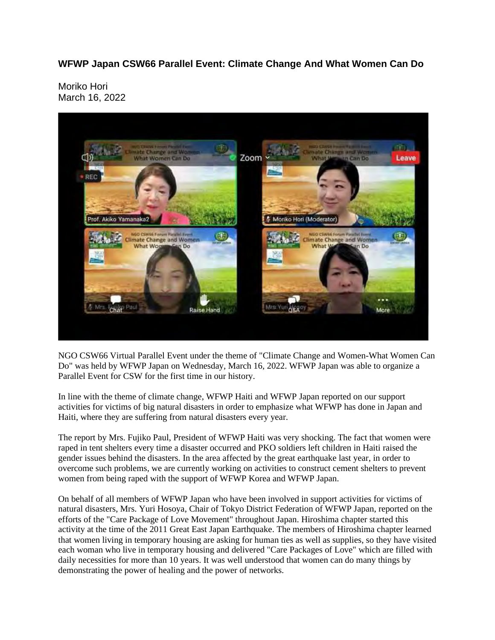**WFWP Japan CSW66 Parallel Event: Climate Change And What Women Can Do**

Moriko Hori March 16, 2022



NGO CSW66 Virtual Parallel Event under the theme of "Climate Change and Women-What Women Can Do" was held by WFWP Japan on Wednesday, March 16, 2022. WFWP Japan was able to organize a Parallel Event for CSW for the first time in our history.

In line with the theme of climate change, WFWP Haiti and WFWP Japan reported on our support activities for victims of big natural disasters in order to emphasize what WFWP has done in Japan and Haiti, where they are suffering from natural disasters every year.

The report by Mrs. Fujiko Paul, President of WFWP Haiti was very shocking. The fact that women were raped in tent shelters every time a disaster occurred and PKO soldiers left children in Haiti raised the gender issues behind the disasters. In the area affected by the great earthquake last year, in order to overcome such problems, we are currently working on activities to construct cement shelters to prevent women from being raped with the support of WFWP Korea and WFWP Japan.

On behalf of all members of WFWP Japan who have been involved in support activities for victims of natural disasters, Mrs. Yuri Hosoya, Chair of Tokyo District Federation of WFWP Japan, reported on the efforts of the "Care Package of Love Movement" throughout Japan. Hiroshima chapter started this activity at the time of the 2011 Great East Japan Earthquake. The members of Hiroshima chapter learned that women living in temporary housing are asking for human ties as well as supplies, so they have visited each woman who live in temporary housing and delivered "Care Packages of Love" which are filled with daily necessities for more than 10 years. It was well understood that women can do many things by demonstrating the power of healing and the power of networks.